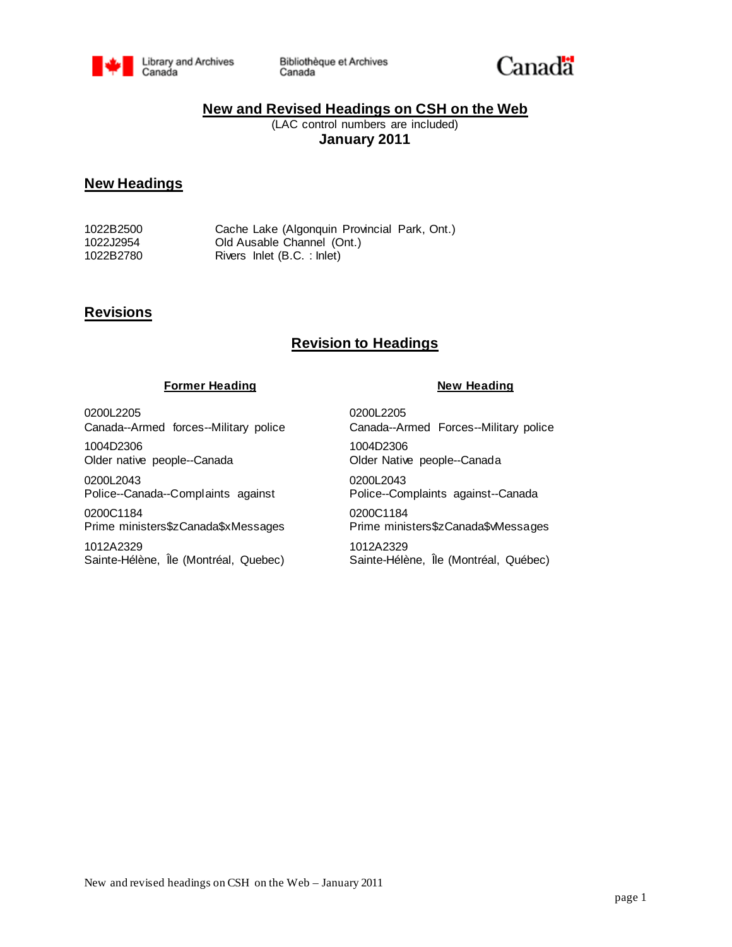

Bibliothèque et Archives Canada



## **New and Revised Headings on CSH on the Web**

(LAC control numbers are included) **January 2011**

## **New Headings**

1022B2500 Cache Lake (Algonquin Provincial Park, Ont.) 1022J2954 Old Ausable Channel (Ont.) Rivers Inlet (B.C. : Inlet)

## **Revisions**

# **Revision to Headings**

### **Former Heading**  New Heading

0200L2205 Canada--Armed forces--Military police 1004D2306

Older native people--Canada

0200L2043 Police--Canada--Complaints against

0200C1184 Prime ministers\$zCanada\$xMessages

1012A2329 Sainte-Hélène, Île (Montréal, Quebec) 0200L2205 Canada--Armed Forces--Military police 1004D2306 Older Native people--Canada 0200L2043 Police--Complaints against--Canada 0200C1184 Prime ministers\$zCanada\$vMessages 1012A2329 Sainte-Hélène, Île (Montréal, Québec)